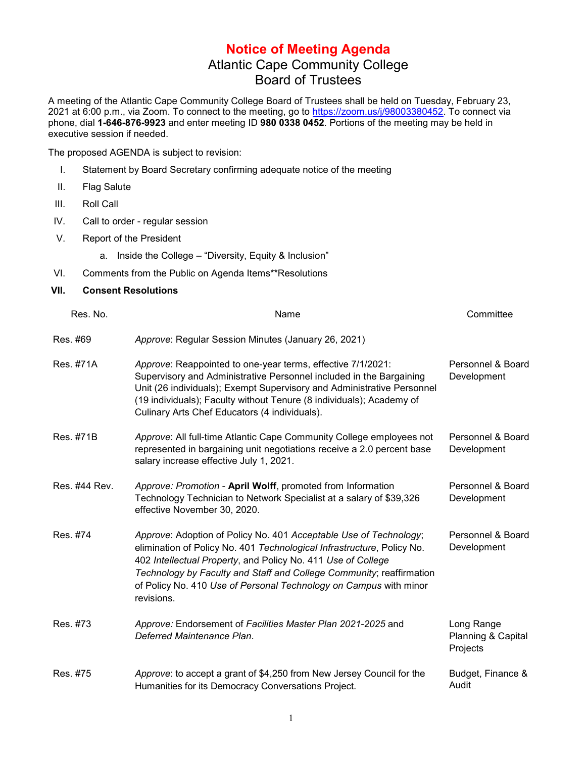## **Notice of Meeting Agenda** Atlantic Cape Community College Board of Trustees

A meeting of the Atlantic Cape Community College Board of Trustees shall be held on Tuesday, February 23, 2021 at 6:00 p.m., via Zoom. To connect to the meeting, go to [https://zoom.us/j/98003380452.](https://zoom.us/j/98003380452) To connect via phone, dial **1-646-876-9923** and enter meeting ID **980 0338 0452**. Portions of the meeting may be held in executive session if needed.

The proposed AGENDA is subject to revision:

- I. Statement by Board Secretary confirming adequate notice of the meeting
- II. Flag Salute
- III. Roll Call
- IV. Call to order regular session
- V. Report of the President
	- a. Inside the College "Diversity, Equity & Inclusion"
- VI. Comments from the Public on Agenda Items\*\*Resolutions

## **VII. Consent Resolutions**

| Res. No.      | Name                                                                                                                                                                                                                                                                                                                                                                   | Committee                                    |
|---------------|------------------------------------------------------------------------------------------------------------------------------------------------------------------------------------------------------------------------------------------------------------------------------------------------------------------------------------------------------------------------|----------------------------------------------|
| Res. #69      | Approve: Regular Session Minutes (January 26, 2021)                                                                                                                                                                                                                                                                                                                    |                                              |
| Res. #71A     | Approve: Reappointed to one-year terms, effective 7/1/2021:<br>Supervisory and Administrative Personnel included in the Bargaining<br>Unit (26 individuals); Exempt Supervisory and Administrative Personnel<br>(19 individuals); Faculty without Tenure (8 individuals); Academy of<br>Culinary Arts Chef Educators (4 individuals).                                  | Personnel & Board<br>Development             |
| Res. #71B     | Approve: All full-time Atlantic Cape Community College employees not<br>represented in bargaining unit negotiations receive a 2.0 percent base<br>salary increase effective July 1, 2021.                                                                                                                                                                              | Personnel & Board<br>Development             |
| Res. #44 Rev. | Approve: Promotion - April Wolff, promoted from Information<br>Technology Technician to Network Specialist at a salary of \$39,326<br>effective November 30, 2020.                                                                                                                                                                                                     | Personnel & Board<br>Development             |
| Res. #74      | Approve: Adoption of Policy No. 401 Acceptable Use of Technology;<br>elimination of Policy No. 401 Technological Infrastructure, Policy No.<br>402 Intellectual Property, and Policy No. 411 Use of College<br>Technology by Faculty and Staff and College Community; reaffirmation<br>of Policy No. 410 Use of Personal Technology on Campus with minor<br>revisions. | Personnel & Board<br>Development             |
| Res. #73      | Approve: Endorsement of Facilities Master Plan 2021-2025 and<br>Deferred Maintenance Plan.                                                                                                                                                                                                                                                                             | Long Range<br>Planning & Capital<br>Projects |
| Res. #75      | Approve: to accept a grant of \$4,250 from New Jersey Council for the<br>Humanities for its Democracy Conversations Project.                                                                                                                                                                                                                                           | Budget, Finance &<br>Audit                   |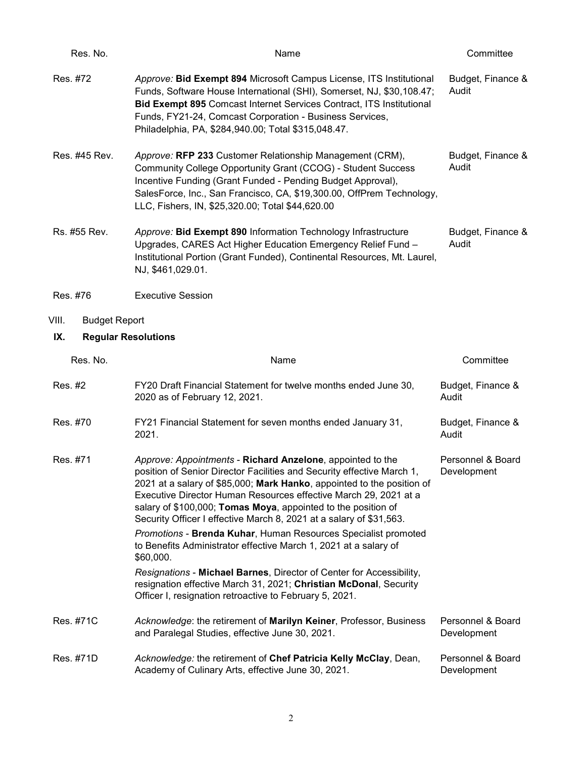| Res. No.                          | Name                                                                                                                                                                                                                                                                                                                                                                                                                                                                                                                                                             | Committee                        |  |
|-----------------------------------|------------------------------------------------------------------------------------------------------------------------------------------------------------------------------------------------------------------------------------------------------------------------------------------------------------------------------------------------------------------------------------------------------------------------------------------------------------------------------------------------------------------------------------------------------------------|----------------------------------|--|
| Res. #72                          | Approve: Bid Exempt 894 Microsoft Campus License, ITS Institutional<br>Funds, Software House International (SHI), Somerset, NJ, \$30,108.47;<br>Bid Exempt 895 Comcast Internet Services Contract, ITS Institutional<br>Funds, FY21-24, Comcast Corporation - Business Services,<br>Philadelphia, PA, \$284,940.00; Total \$315,048.47.                                                                                                                                                                                                                          | Budget, Finance &<br>Audit       |  |
| Res. #45 Rev.                     | Approve: RFP 233 Customer Relationship Management (CRM),<br>Community College Opportunity Grant (CCOG) - Student Success<br>Incentive Funding (Grant Funded - Pending Budget Approval),<br>SalesForce, Inc., San Francisco, CA, \$19,300.00, OffPrem Technology,<br>LLC, Fishers, IN, \$25,320.00; Total \$44,620.00                                                                                                                                                                                                                                             | Budget, Finance &<br>Audit       |  |
| Rs. #55 Rev.                      | Approve: Bid Exempt 890 Information Technology Infrastructure<br>Upgrades, CARES Act Higher Education Emergency Relief Fund -<br>Institutional Portion (Grant Funded), Continental Resources, Mt. Laurel,<br>NJ, \$461,029.01.                                                                                                                                                                                                                                                                                                                                   | Budget, Finance &<br>Audit       |  |
| Res. #76                          | <b>Executive Session</b>                                                                                                                                                                                                                                                                                                                                                                                                                                                                                                                                         |                                  |  |
| VIII.<br><b>Budget Report</b>     |                                                                                                                                                                                                                                                                                                                                                                                                                                                                                                                                                                  |                                  |  |
| <b>Regular Resolutions</b><br>IX. |                                                                                                                                                                                                                                                                                                                                                                                                                                                                                                                                                                  |                                  |  |
| Res. No.                          | Name                                                                                                                                                                                                                                                                                                                                                                                                                                                                                                                                                             | Committee                        |  |
| Res. #2                           | FY20 Draft Financial Statement for twelve months ended June 30,<br>2020 as of February 12, 2021.                                                                                                                                                                                                                                                                                                                                                                                                                                                                 | Budget, Finance &<br>Audit       |  |
| Res. #70                          | FY21 Financial Statement for seven months ended January 31,<br>2021.                                                                                                                                                                                                                                                                                                                                                                                                                                                                                             | Budget, Finance &<br>Audit       |  |
| Res. #71                          | Approve: Appointments - Richard Anzelone, appointed to the<br>position of Senior Director Facilities and Security effective March 1,<br>2021 at a salary of \$85,000; Mark Hanko, appointed to the position of<br>Executive Director Human Resources effective March 29, 2021 at a<br>salary of \$100,000; Tomas Moya, appointed to the position of<br>Security Officer I effective March 8, 2021 at a salary of \$31,563.<br>Promotions - Brenda Kuhar, Human Resources Specialist promoted<br>to Benefits Administrator effective March 1, 2021 at a salary of | Personnel & Board<br>Development |  |
|                                   | \$60,000.<br>Resignations - Michael Barnes, Director of Center for Accessibility,<br>resignation effective March 31, 2021; Christian McDonal, Security<br>Officer I, resignation retroactive to February 5, 2021.                                                                                                                                                                                                                                                                                                                                                |                                  |  |
| Res. #71C                         | Acknowledge: the retirement of Marilyn Keiner, Professor, Business<br>and Paralegal Studies, effective June 30, 2021.                                                                                                                                                                                                                                                                                                                                                                                                                                            | Personnel & Board<br>Development |  |
| Res. #71D                         | Acknowledge: the retirement of Chef Patricia Kelly McClay, Dean,<br>Academy of Culinary Arts, effective June 30, 2021.                                                                                                                                                                                                                                                                                                                                                                                                                                           | Personnel & Board<br>Development |  |